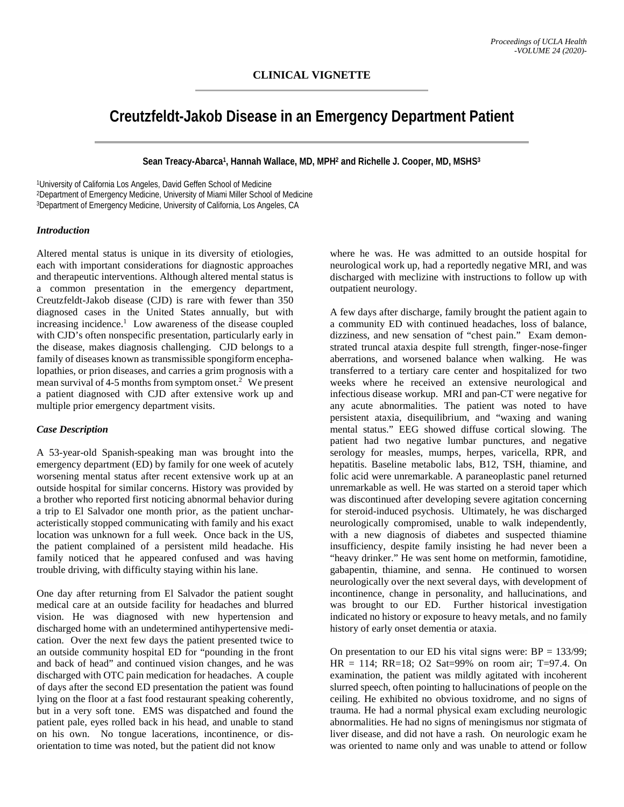# **Creutzfeldt-Jakob Disease in an Emergency Department Patient**

**Sean Treacy-Abarca1, Hannah Wallace, MD, MPH2 and Richelle J. Cooper, MD, MSHS3**

1University of California Los Angeles, David Geffen School of Medicine 2Department of Emergency Medicine, University of Miami Miller School of Medicine 3Department of Emergency Medicine, University of California, Los Angeles, CA

#### *Introduction*

Altered mental status is unique in its diversity of etiologies, each with important considerations for diagnostic approaches and therapeutic interventions. Although altered mental status is a common presentation in the emergency department, Creutzfeldt-Jakob disease (CJD) is rare with fewer than 350 diagnosed cases in the United States annually, but with increasing incidence. <sup>1</sup> Low awareness of the disease coupled with CJD's often nonspecific presentation, particularly early in the disease, makes diagnosis challenging. CJD belongs to a family of diseases known as transmissible spongiform encephalopathies, or prion diseases, and carries a grim prognosis with a mean survival of 4-5 months from symptom onset.<sup>2</sup> We present a patient diagnosed with CJD after extensive work up and multiple prior emergency department visits.

## *Case Description*

A 53-year-old Spanish-speaking man was brought into the emergency department (ED) by family for one week of acutely worsening mental status after recent extensive work up at an outside hospital for similar concerns. History was provided by a brother who reported first noticing abnormal behavior during a trip to El Salvador one month prior, as the patient uncharacteristically stopped communicating with family and his exact location was unknown for a full week. Once back in the US, the patient complained of a persistent mild headache. His family noticed that he appeared confused and was having trouble driving, with difficulty staying within his lane.

One day after returning from El Salvador the patient sought medical care at an outside facility for headaches and blurred vision. He was diagnosed with new hypertension and discharged home with an undetermined antihypertensive medication. Over the next few days the patient presented twice to an outside community hospital ED for "pounding in the front and back of head" and continued vision changes, and he was discharged with OTC pain medication for headaches. A couple of days after the second ED presentation the patient was found lying on the floor at a fast food restaurant speaking coherently, but in a very soft tone. EMS was dispatched and found the patient pale, eyes rolled back in his head, and unable to stand on his own. No tongue lacerations, incontinence, or disorientation to time was noted, but the patient did not know

where he was. He was admitted to an outside hospital for neurological work up, had a reportedly negative MRI, and was discharged with meclizine with instructions to follow up with outpatient neurology.

A few days after discharge, family brought the patient again to a community ED with continued headaches, loss of balance, dizziness, and new sensation of "chest pain." Exam demonstrated truncal ataxia despite full strength, finger-nose-finger aberrations, and worsened balance when walking. He was transferred to a tertiary care center and hospitalized for two weeks where he received an extensive neurological and infectious disease workup. MRI and pan-CT were negative for any acute abnormalities. The patient was noted to have persistent ataxia, disequilibrium, and "waxing and waning mental status." EEG showed diffuse cortical slowing. The patient had two negative lumbar punctures, and negative serology for measles, mumps, herpes, varicella, RPR, and hepatitis. Baseline metabolic labs, B12, TSH, thiamine, and folic acid were unremarkable. A paraneoplastic panel returned unremarkable as well. He was started on a steroid taper which was discontinued after developing severe agitation concerning for steroid-induced psychosis. Ultimately, he was discharged neurologically compromised, unable to walk independently, with a new diagnosis of diabetes and suspected thiamine insufficiency, despite family insisting he had never been a "heavy drinker." He was sent home on metformin, famotidine, gabapentin, thiamine, and senna. He continued to worsen neurologically over the next several days, with development of incontinence, change in personality, and hallucinations, and was brought to our ED. Further historical investigation indicated no history or exposure to heavy metals, and no family history of early onset dementia or ataxia.

On presentation to our ED his vital signs were:  $BP = 133/99$ ; HR = 114; RR=18; O2 Sat=99% on room air; T=97.4. On examination, the patient was mildly agitated with incoherent slurred speech, often pointing to hallucinations of people on the ceiling. He exhibited no obvious toxidrome, and no signs of trauma. He had a normal physical exam excluding neurologic abnormalities. He had no signs of meningismus nor stigmata of liver disease, and did not have a rash. On neurologic exam he was oriented to name only and was unable to attend or follow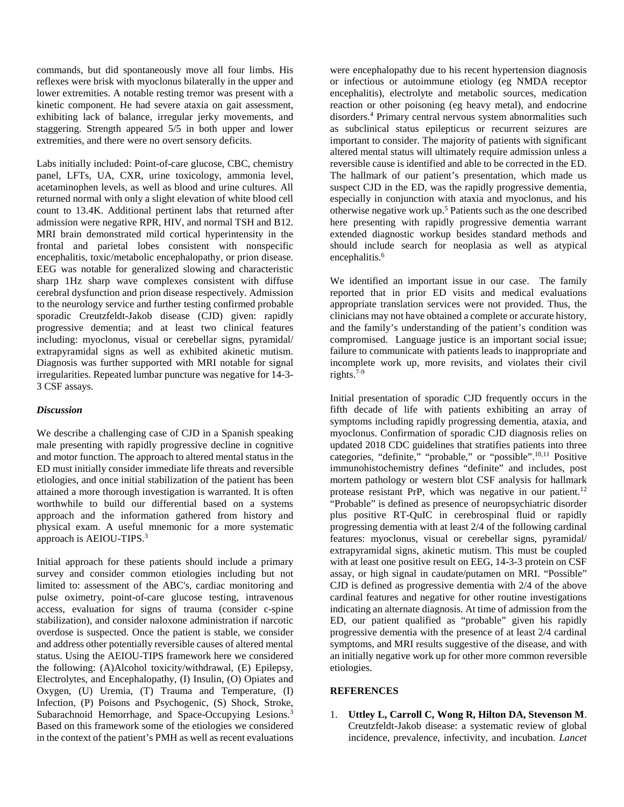commands, but did spontaneously move all four limbs. His reflexes were brisk with myoclonus bilaterally in the upper and lower extremities. A notable resting tremor was present with a kinetic component. He had severe ataxia on gait assessment, exhibiting lack of balance, irregular jerky movements, and staggering. Strength appeared 5/5 in both upper and lower extremities, and there were no overt sensory deficits.

Labs initially included: Point-of-care glucose, CBC, chemistry panel, LFTs, UA, CXR, urine toxicology, ammonia level, acetaminophen levels, as well as blood and urine cultures. All returned normal with only a slight elevation of white blood cell count to 13.4K. Additional pertinent labs that returned after admission were negative RPR, HIV, and normal TSH and B12. MRI brain demonstrated mild cortical hyperintensity in the frontal and parietal lobes consistent with nonspecific encephalitis, toxic/metabolic encephalopathy, or prion disease. EEG was notable for generalized slowing and characteristic sharp 1Hz sharp wave complexes consistent with diffuse cerebral dysfunction and prion disease respectively. Admission to the neurology service and further testing confirmed probable sporadic Creutzfeldt-Jakob disease (CJD) given: rapidly progressive dementia; and at least two clinical features including: myoclonus, visual or cerebellar signs, pyramidal/ extrapyramidal signs as well as exhibited akinetic mutism. Diagnosis was further supported with MRI notable for signal irregularities. Repeated lumbar puncture was negative for 14-3- 3 CSF assays.

## *Discussion*

We describe a challenging case of CJD in a Spanish speaking male presenting with rapidly progressive decline in cognitive and motor function. The approach to altered mental status in the ED must initially consider immediate life threats and reversible etiologies, and once initial stabilization of the patient has been attained a more thorough investigation is warranted. It is often worthwhile to build our differential based on a systems approach and the information gathered from history and physical exam. A useful mnemonic for a more systematic approach is AEIOU-TIPS.<sup>3</sup>

Initial approach for these patients should include a primary survey and consider common etiologies including but not limited to: assessment of the ABC's, cardiac monitoring and pulse oximetry, point-of-care glucose testing, intravenous access, evaluation for signs of trauma (consider c-spine stabilization), and consider naloxone administration if narcotic overdose is suspected. Once the patient is stable, we consider and address other potentially reversible causes of altered mental status. Using the AEIOU-TIPS framework here we considered the following: (A)Alcohol toxicity/withdrawal, (E) Epilepsy, Electrolytes, and Encephalopathy, (I) Insulin, (O) Opiates and Oxygen, (U) Uremia, (T) Trauma and Temperature, (I) Infection, (P) Poisons and Psychogenic, (S) Shock, Stroke, Subarachnoid Hemorrhage, and Space-Occupying Lesions.<sup>3</sup> Based on this framework some of the etiologies we considered in the context of the patient's PMH as well as recent evaluations

were encephalopathy due to his recent hypertension diagnosis or infectious or autoimmune etiology (eg NMDA receptor encephalitis), electrolyte and metabolic sources, medication reaction or other poisoning (eg heavy metal), and endocrine disorders. <sup>4</sup> Primary central nervous system abnormalities such as subclinical status epilepticus or recurrent seizures are important to consider. The majority of patients with significant altered mental status will ultimately require admission unless a reversible cause is identified and able to be corrected in the ED. The hallmark of our patient's presentation, which made us suspect CJD in the ED, was the rapidly progressive dementia, especially in conjunction with ataxia and myoclonus, and his otherwise negative work up. <sup>5</sup> Patients such as the one described here presenting with rapidly progressive dementia warrant extended diagnostic workup besides standard methods and should include search for neoplasia as well as atypical encephalitis.<sup>6</sup>

We identified an important issue in our case. The family reported that in prior ED visits and medical evaluations appropriate translation services were not provided. Thus, the clinicians may not have obtained a complete or accurate history, and the family's understanding of the patient's condition was compromised. Language justice is an important social issue; failure to communicate with patients leads to inappropriate and incomplete work up, more revisits, and violates their civil rights. 7-9

Initial presentation of sporadic CJD frequently occurs in the fifth decade of life with patients exhibiting an array of symptoms including rapidly progressing dementia, ataxia, and myoclonus. Confirmation of sporadic CJD diagnosis relies on updated 2018 CDC guidelines that stratifies patients into three categories, "definite," "probable," or "possible".<sup>10,11</sup> Positive immunohistochemistry defines "definite" and includes, post mortem pathology or western blot CSF analysis for hallmark protease resistant PrP, which was negative in our patient.<sup>12</sup> "Probable" is defined as presence of neuropsychiatric disorder plus positive RT-QuIC in cerebrospinal fluid or rapidly progressing dementia with at least 2/4 of the following cardinal features: myoclonus, visual or cerebellar signs, pyramidal/ extrapyramidal signs, akinetic mutism. This must be coupled with at least one positive result on EEG, 14-3-3 protein on CSF assay, or high signal in caudate/putamen on MRI. "Possible" CJD is defined as progressive dementia with 2/4 of the above cardinal features and negative for other routine investigations indicating an alternate diagnosis. At time of admission from the ED, our patient qualified as "probable" given his rapidly progressive dementia with the presence of at least 2/4 cardinal symptoms, and MRI results suggestive of the disease, and with an initially negative work up for other more common reversible etiologies.

## **REFERENCES**

1. **Uttley L, Carroll C, Wong R, Hilton DA, Stevenson M**. Creutzfeldt-Jakob disease: a systematic review of global incidence, prevalence, infectivity, and incubation. *Lancet*